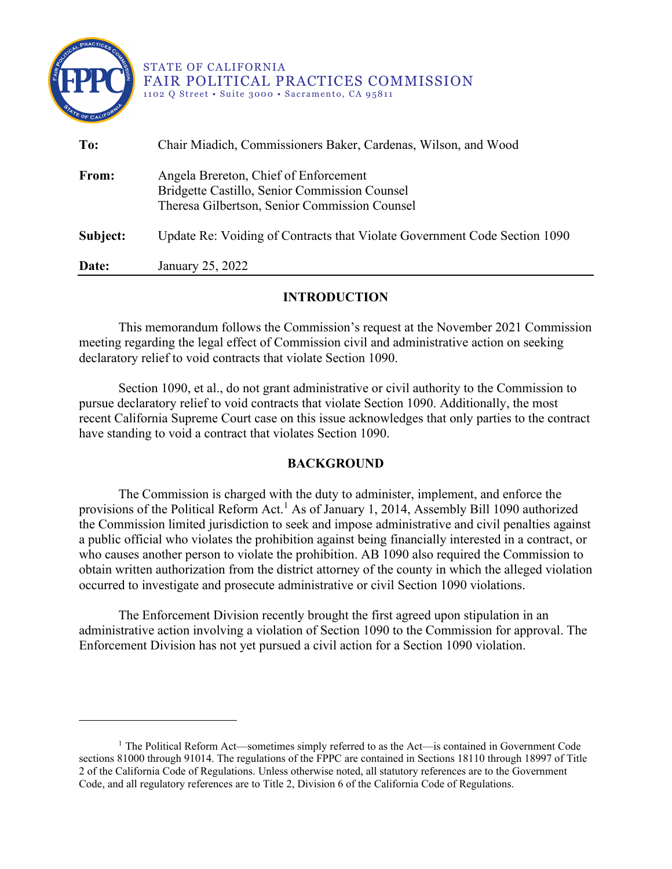

STATE OF CALIFORNIA FAIR POLITICAL PRACTICES COMMISSION 1102 Q Street • Suite 3000 • Sacramento, CA 95811

| To:      | Chair Miadich, Commissioners Baker, Cardenas, Wilson, and Wood                                                                          |
|----------|-----------------------------------------------------------------------------------------------------------------------------------------|
| From:    | Angela Brereton, Chief of Enforcement<br>Bridgette Castillo, Senior Commission Counsel<br>Theresa Gilbertson, Senior Commission Counsel |
| Subject: | Update Re: Voiding of Contracts that Violate Government Code Section 1090                                                               |
| Date:    | January 25, 2022                                                                                                                        |

### **INTRODUCTION**

This memorandum follows the Commission's request at the November 2021 Commission meeting regarding the legal effect of Commission civil and administrative action on seeking declaratory relief to void contracts that violate Section 1090.

Section 1090, et al., do not grant administrative or civil authority to the Commission to pursue declaratory relief to void contracts that violate Section 1090. Additionally, the most recent California Supreme Court case on this issue acknowledges that only parties to the contract have standing to void a contract that violates Section 1090.

#### **BACKGROUND**

The Commission is charged with the duty to administer, implement, and enforce the provisions of the Political Reform Act.<sup>[1](#page-0-0)</sup> As of January 1, 2014, Assembly Bill 1090 authorized the Commission limited jurisdiction to seek and impose administrative and civil penalties against a public official who violates the prohibition against being financially interested in a contract, or who causes another person to violate the prohibition. AB 1090 also required the Commission to obtain written authorization from the district attorney of the county in which the alleged violation occurred to investigate and prosecute administrative or civil Section 1090 violations.

The Enforcement Division recently brought the first agreed upon stipulation in an administrative action involving a violation of Section 1090 to the Commission for approval. The Enforcement Division has not yet pursued a civil action for a Section 1090 violation.

<span id="page-0-0"></span> $1$  The Political Reform Act—sometimes simply referred to as the Act—is contained in Government Code sections 81000 through 91014. The regulations of the FPPC are contained in Sections 18110 through 18997 of Title 2 of the California Code of Regulations. Unless otherwise noted, all statutory references are to the Government Code, and all regulatory references are to Title 2, Division 6 of the California Code of Regulations.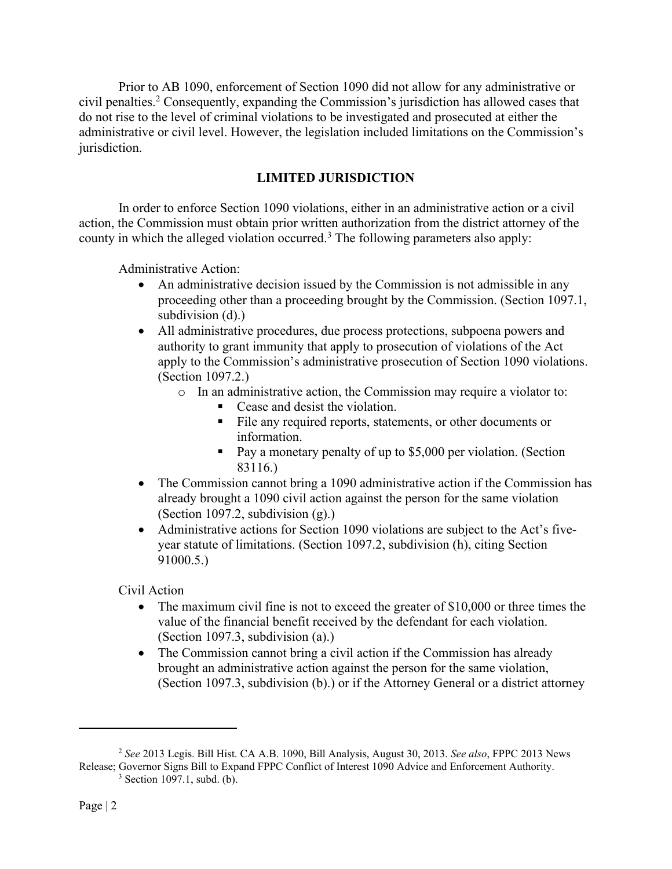Prior to AB 1090, enforcement of Section 1090 did not allow for any administrative or civil penalties.[2](#page-1-0) Consequently, expanding the Commission's jurisdiction has allowed cases that do not rise to the level of criminal violations to be investigated and prosecuted at either the administrative or civil level. However, the legislation included limitations on the Commission's jurisdiction.

# **LIMITED JURISDICTION**

In order to enforce Section 1090 violations, either in an administrative action or a civil action, the Commission must obtain prior written authorization from the district attorney of the county in which the alleged violation occurred.[3](#page-1-1) The following parameters also apply:

Administrative Action:

- An administrative decision issued by the Commission is not admissible in any proceeding other than a proceeding brought by the Commission. (Section 1097.1, subdivision (d).)
- · All administrative procedures, due process protections, subpoena powers and authority to grant immunity that apply to prosecution of violations of the Act apply to the Commission's administrative prosecution of Section 1090 violations. (Section 1097.2.)
	- o In an administrative action, the Commission may require a violator to:
		- Cease and desist the violation.
		- File any required reports, statements, or other documents or information.
		- Pay a monetary penalty of up to \$5,000 per violation. (Section 83116.)
- The Commission cannot bring a 1090 administrative action if the Commission has already brought a 1090 civil action against the person for the same violation (Section 1097.2, subdivision (g).)
- · Administrative actions for Section 1090 violations are subject to the Act's fiveyear statute of limitations. (Section 1097.2, subdivision (h), citing Section 91000.5.)

Civil Action

- The maximum civil fine is not to exceed the greater of \$10,000 or three times the value of the financial benefit received by the defendant for each violation. (Section 1097.3, subdivision (a).)
- The Commission cannot bring a civil action if the Commission has already brought an administrative action against the person for the same violation, (Section 1097.3, subdivision (b).) or if the Attorney General or a district attorney

<span id="page-1-1"></span><span id="page-1-0"></span><sup>2</sup> *See* 2013 Legis. Bill Hist. CA A.B. 1090, Bill Analysis, August 30, 2013. *See also*, FPPC 2013 News Release; Governor Signs Bill to Expand FPPC Conflict of Interest 1090 Advice and Enforcement Authority.

<sup>3</sup> Section 1097.1, subd. (b).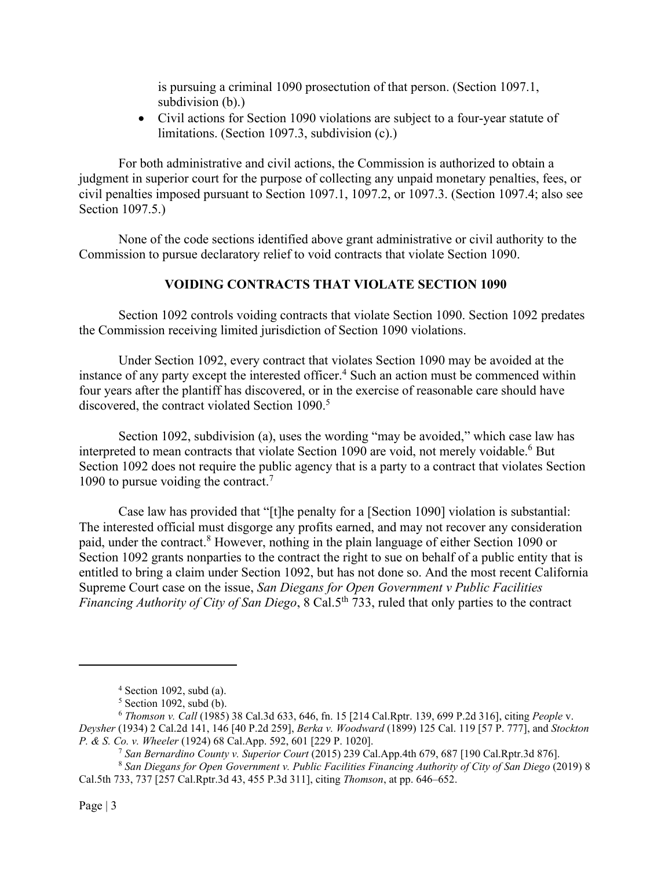is pursuing a criminal 1090 prosectution of that person. (Section 1097.1, subdivision (b).)

· Civil actions for Section 1090 violations are subject to a four-year statute of limitations. (Section 1097.3, subdivision (c).)

For both administrative and civil actions, the Commission is authorized to obtain a judgment in superior court for the purpose of collecting any unpaid monetary penalties, fees, or civil penalties imposed pursuant to Section 1097.1, 1097.2, or 1097.3. (Section 1097.4; also see Section 1097.5.)

None of the code sections identified above grant administrative or civil authority to the Commission to pursue declaratory relief to void contracts that violate Section 1090.

# **VOIDING CONTRACTS THAT VIOLATE SECTION 1090**

Section 1092 controls voiding contracts that violate Section 1090. Section 1092 predates the Commission receiving limited jurisdiction of Section 1090 violations.

Under Section 1092, every contract that violates Section 1090 may be avoided at the instance of any party except the interested officer. [4](#page-2-0) Such an action must be commenced within four years after the plantiff has discovered, or in the exercise of reasonable care should have discovered, the contract violated Section 1090. [5](#page-2-1)

Section 1092, subdivision (a), uses the wording "may be avoided," which case law has interpreted to mean contracts that violate Section 1090 are void, not merely voidable.<sup>[6](#page-2-2)</sup> But Section 1092 does not require the public agency that is a party to a contract that violates Section 1090 to pursue voiding the contract.<sup>[7](#page-2-3)</sup>

Case law has provided that "[t]he penalty for a [Section 1090] violation is substantial: The interested official must disgorge any profits earned, and may not recover any consideration paid, under the contract.[8](#page-2-4) However, nothing in the plain language of either Section 1090 or Section 1092 grants nonparties to the contract the right to sue on behalf of a public entity that is entitled to bring a claim under Section 1092, but has not done so. And the most recent California Supreme Court case on the issue, *San Diegans for Open Government v Public Facilities Financing Authority of City of San Diego*, 8 Cal.5<sup>th</sup> 733, ruled that only parties to the contract

 $4$  Section 1092, subd (a).

 $5$  Section 1092, subd (b).

<span id="page-2-2"></span><span id="page-2-1"></span><span id="page-2-0"></span><sup>6</sup> *Thomson v. Call* (1985) 38 Cal.3d 633, 646, fn. 15 [214 Cal.Rptr. 139, 699 P.2d 316], citing *People* v. *Deysher* (1934) 2 Cal.2d 141, 146 [40 P.2d 259], *Berka v. Woodward* (1899) 125 Cal. 119 [57 P. 777], and *Stockton P. & S. Co. v. Wheeler* (1924) 68 Cal.App. 592, 601 [229 P. 1020].

<sup>7</sup> *San Bernardino County v. Superior Court* (2015) 239 Cal.App.4th 679, 687 [190 Cal.Rptr.3d 876].

<span id="page-2-4"></span><span id="page-2-3"></span><sup>8</sup> *San Diegans for Open Government v. Public Facilities Financing Authority of City of San Diego* (2019) 8 Cal.5th 733, 737 [257 Cal.Rptr.3d 43, 455 P.3d 311], citing *Thomson*, at pp. 646–652.